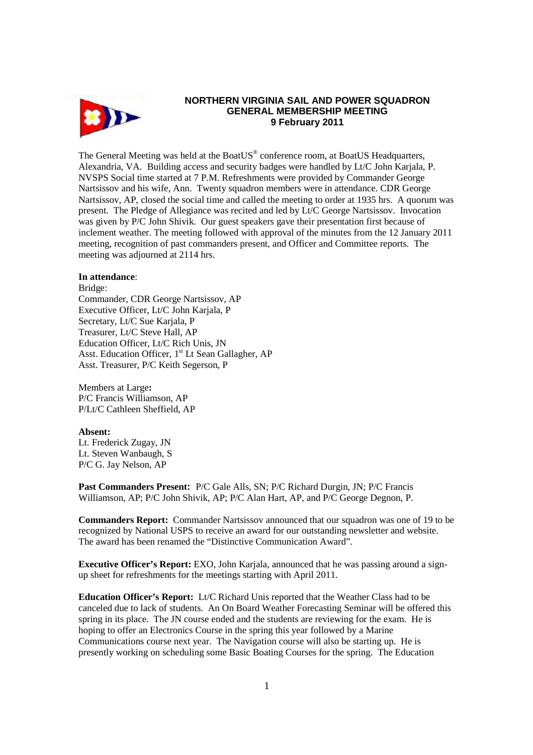

# **NORTHERN VIRGINIA SAIL AND POWER SQUADRON GENERAL MEMBERSHIP MEETING 9 February 2011**

The General Meeting was held at the BoatUS® conference room, at BoatUS Headquarters, Alexandria, VA. Building access and security badges were handled by Lt/C John Karjala, P. NVSPS Social time started at 7 P.M. Refreshments were provided by Commander George Nartsissov and his wife, Ann. Twenty squadron members were in attendance. CDR George Nartsissov, AP, closed the social time and called the meeting to order at 1935 hrs. A quorum was present. The Pledge of Allegiance was recited and led by Lt/C George Nartsissov. Invocation was given by P/C John Shivik. Our guest speakers gave their presentation first because of inclement weather. The meeting followed with approval of the minutes from the 12 January 2011 meeting, recognition of past commanders present, and Officer and Committee reports. The meeting was adjourned at 2114 hrs.

#### **In attendance**:

Bridge:

Commander, CDR George Nartsissov, AP Executive Officer, Lt/C John Karjala, P Secretary, Lt/C Sue Karjala, P Treasurer, Lt/C Steve Hall, AP Education Officer, Lt/C Rich Unis, JN Asst. Education Officer, 1<sup>st</sup> Lt Sean Gallagher, AP Asst. Treasurer, P/C Keith Segerson, P

Members at Large**:**  P/C Francis Williamson, AP P/Lt/C Cathleen Sheffield, AP

## **Absent:**

Lt. Frederick Zugay, JN Lt. Steven Wanbaugh, S P/C G. Jay Nelson, AP

**Past Commanders Present:** P/C Gale Alls, SN; P/C Richard Durgin, JN; P/C Francis Williamson, AP; P/C John Shivik, AP; P/C Alan Hart, AP, and P/C George Degnon, P.

**Commanders Report:** Commander Nartsissov announced that our squadron was one of 19 to be recognized by National USPS to receive an award for our outstanding newsletter and website. The award has been renamed the "Distinctive Communication Award".

**Executive Officer's Report:** EXO, John Karjala, announced that he was passing around a signup sheet for refreshments for the meetings starting with April 2011.

**Education Officer's Report:** Lt/C Richard Unis reported that the Weather Class had to be canceled due to lack of students. An On Board Weather Forecasting Seminar will be offered this spring in its place. The JN course ended and the students are reviewing for the exam. He is hoping to offer an Electronics Course in the spring this year followed by a Marine Communications course next year. The Navigation course will also be starting up. He is presently working on scheduling some Basic Boating Courses for the spring. The Education